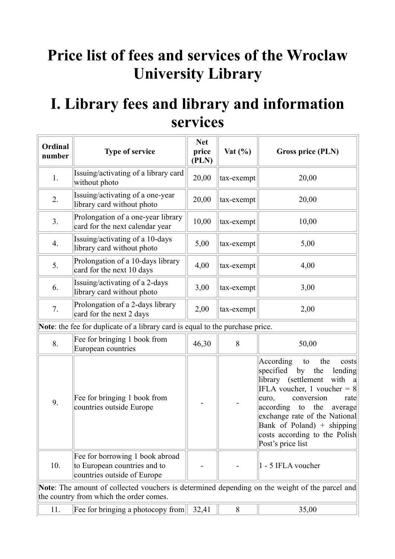# **Price list of fees and services of the Wroclaw University Library**

## **I. Library fees and library and information services**

| Ordinal<br>number | <b>Type of service</b>                                                                                                                    | <b>Net</b><br>price<br>(PLN) | Vat $(\% )$ | Gross price (PLN)                                                                                                                                                                                                                                                                                                                  |
|-------------------|-------------------------------------------------------------------------------------------------------------------------------------------|------------------------------|-------------|------------------------------------------------------------------------------------------------------------------------------------------------------------------------------------------------------------------------------------------------------------------------------------------------------------------------------------|
| 1.                | Issuing/activating of a library card<br>without photo                                                                                     | 20,00                        | tax-exempt  | 20,00                                                                                                                                                                                                                                                                                                                              |
| 2.                | Issuing/activating of a one-year<br>library card without photo                                                                            | 20,00                        | tax-exempt  | 20,00                                                                                                                                                                                                                                                                                                                              |
| 3.                | Prolongation of a one-year library<br>card for the next calendar year                                                                     | 10,00                        | tax-exempt  | 10,00                                                                                                                                                                                                                                                                                                                              |
| 4.                | Issuing/activating of a 10-days<br>library card without photo                                                                             | 5,00                         | tax-exempt  | 5,00                                                                                                                                                                                                                                                                                                                               |
| 5.                | Prolongation of a 10-days library<br>card for the next 10 days                                                                            | 4,00                         | tax-exempt  | 4,00                                                                                                                                                                                                                                                                                                                               |
| 6.                | Issuing/activating of a 2-days<br>library card without photo                                                                              | 3,00                         | tax-exempt  | 3,00                                                                                                                                                                                                                                                                                                                               |
| 7.                | Prolongation of a 2-days library<br>card for the next 2 days                                                                              | 2,00                         | tax-exempt  | 2,00                                                                                                                                                                                                                                                                                                                               |
|                   | Note: the fee for duplicate of a library card is equal to the purchase price.                                                             |                              |             |                                                                                                                                                                                                                                                                                                                                    |
| 8.                | Fee for bringing 1 book from<br>European countries                                                                                        | 46,30                        | 8           | 50,00                                                                                                                                                                                                                                                                                                                              |
| 9.                | Fee for bringing 1 book from<br>countries outside Europe                                                                                  |                              |             | According<br>the<br>to<br>costs<br>specified<br>lending<br>by<br>the<br>library (settlement<br>with<br>a<br>IFLA voucher, 1 voucher = $8$<br>conversion<br>euro,<br>rate<br>according<br>the<br>to<br>average<br>exchange rate of the National<br>Bank of Poland) + shipping<br>costs according to the Polish<br>Post's price list |
| 10.               | Fee for borrowing 1 book abroad<br>to European countries and to<br>countries outside of Europe                                            |                              |             | $1 - 5$ IFLA voucher                                                                                                                                                                                                                                                                                                               |
|                   | Note: The amount of collected vouchers is determined depending on the weight of the parcel and<br>the country from which the order comes. |                              |             |                                                                                                                                                                                                                                                                                                                                    |
| 11.               | Fee for bringing a photocopy from                                                                                                         | 32,41                        | 8           | 35,00                                                                                                                                                                                                                                                                                                                              |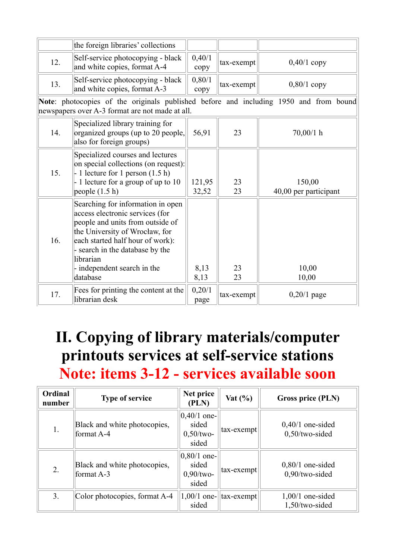|     | the foreign libraries' collections                                                                                                                                                                                                                                        |                 |            |                                 |
|-----|---------------------------------------------------------------------------------------------------------------------------------------------------------------------------------------------------------------------------------------------------------------------------|-----------------|------------|---------------------------------|
| 12. | Self-service photocopying - black<br>and white copies, format A-4                                                                                                                                                                                                         | 0,40/1<br>copy  | tax-exempt | $0,40/1$ copy                   |
| 13. | Self-service photocopying - black<br>and white copies, format A-3                                                                                                                                                                                                         | 0,80/1<br>copy  | tax-exempt | $0,80/1$ copy                   |
|     | Note: photocopies of the originals published before and including 1950 and from bound<br>newspapers over A-3 format are not made at all.                                                                                                                                  |                 |            |                                 |
| 14. | Specialized library training for<br>organized groups (up to 20 people,<br>also for foreign groups)                                                                                                                                                                        | 56,91           | 23         | $70,00/1$ h                     |
| 15. | Specialized courses and lectures<br>on special collections (on request):<br>$-1$ lecture for 1 person $(1.5 h)$<br>$-1$ lecture for a group of up to 10<br>people $(1.5 h)$                                                                                               | 121,95<br>32,52 | 23<br>23   | 150,00<br>40,00 per participant |
| 16. | Searching for information in open<br>access electronic services (for<br>people and units from outside of<br>the University of Wrocław, for<br>each started half hour of work):<br>- search in the database by the<br>librarian<br>- independent search in the<br>database | 8,13<br>8,13    | 23<br>23   | 10,00<br>10,00                  |
| 17. | Fees for printing the content at the<br>librarian desk                                                                                                                                                                                                                    | 0,20/1<br>page  | tax-exempt | $0,20/1$ page                   |

# **II. Copying of library materials/computer printouts services at self-service stations Note: items 3-12 - services available soon**

| Ordinal<br>number | <b>Type of service</b>                       | Net price<br>(PLN)                               | Vat $(\% )$ | Gross price (PLN)                       |
|-------------------|----------------------------------------------|--------------------------------------------------|-------------|-----------------------------------------|
| 1.                | Black and white photocopies,<br>format A-4   | $0,40/1$ one-<br>sided<br>$0,50$ /two-<br>sided  | tax-exempt  | $0,40/1$ one-sided<br>$0,50$ /two-sided |
| 2.                | Black and white photocopies,<br>format $A-3$ | $ 0,80/1$ one-<br>sided<br>$0,90$ /two-<br>sided | tax-exempt  | $0,80/1$ one-sided<br>$0,90$ /two-sided |
| 3.                | Color photocopies, format A-4                | $1,00/1$ one-<br>sided                           | tax-exempt  | $1,00/1$ one-sided<br>1,50/two-sided    |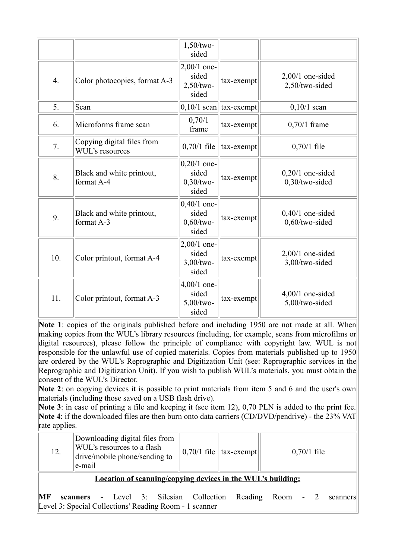|     |                                               | $1,50$ /two-<br>sided                           |                            |                                      |
|-----|-----------------------------------------------|-------------------------------------------------|----------------------------|--------------------------------------|
| 4.  | Color photocopies, format A-3                 | $2,00/1$ one-<br>sided<br>2,50/two-<br>sided    | tax-exempt                 | $2,00/1$ one-sided<br>2,50/two-sided |
| 5.  | Scan                                          |                                                 | $0,10/1$ scan   tax-exempt | $0,10/1$ scan                        |
| 6.  | Microforms frame scan                         | 0,70/1<br>frame                                 | tax-exempt                 | $0,70/1$ frame                       |
| 7.  | Copying digital files from<br>WUL's resources | $0,70/1$ file                                   | tax-exempt                 | $0,70/1$ file                        |
| 8.  | Black and white printout,<br>format A-4       | $0,20/1$ one-<br>sided<br>$0,30$ /two-<br>sided | tax-exempt                 | $0,20/1$ one-sided<br>0,30/two-sided |
| 9.  | Black and white printout,<br>format A-3       | $0,40/1$ one-<br>sided<br>$0,60$ /two-<br>sided | tax-exempt                 | $0,40/1$ one-sided<br>0,60/two-sided |
| 10. | Color printout, format A-4                    | $2,00/1$ one-<br>sided<br>$3,00$ /two-<br>sided | tax-exempt                 | $2,00/1$ one-sided<br>3,00/two-sided |
| 11. | Color printout, format A-3                    | $4,00/1$ one-<br>sided<br>$5,00$ /two-<br>sided | tax-exempt                 | $4,00/1$ one-sided<br>5,00/two-sided |

**Note 1**: copies of the originals published before and including 1950 are not made at all. When making copies from the WUL's library resources (including, for example, scans from microfilms or digital resources), please follow the principle of compliance with copyright law. WUL is not responsible for the unlawful use of copied materials. Copies from materials published up to 1950 are ordered by the WUL's Reprographic and Digitization Unit (see: Reprographic services in the Reprographic and Digitization Unit). If you wish to publish WUL's materials, you must obtain the consent of the WUL's Director.

Note 2: on copying devices it is possible to print materials from item 5 and 6 and the user's own materials (including those saved on a USB flash drive).

**Note 3**: in case of printing a file and keeping it (see item 12), 0,70 PLN is added to the print fee. **Note 4**: if the downloaded files are then burn onto data carriers (CD/DVD/pendrive) - the 23% VAT rate applies.

| 12.                                                                | Downloading digital files from<br>WUL's resources to a flash<br>drive/mobile phone/sending to<br>e-mail |  | $\parallel 0.70/1$ file $\parallel$ tax-exempt $\parallel$ | $0,70/1$ file |  |
|--------------------------------------------------------------------|---------------------------------------------------------------------------------------------------------|--|------------------------------------------------------------|---------------|--|
| <b>Location of scanning/copying devices in the WUL's building:</b> |                                                                                                         |  |                                                            |               |  |

**MF scanners** - Level 3: Silesian Collection Reading Room - 2 scanners Level 3: Special Collections' Reading Room - 1 scanner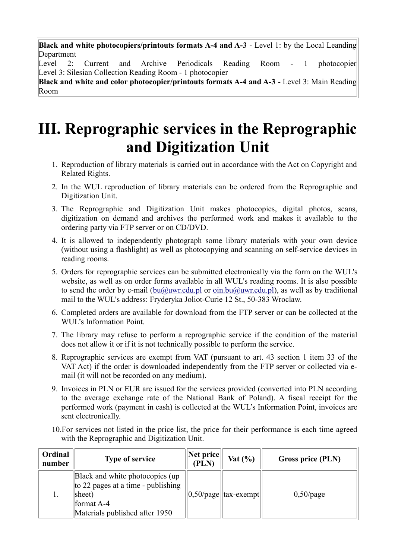**Black and white photocopiers/printouts formats A-4 and A-3** - Level 1: by the Local Leanding Department

Level 2: Current and Archive Periodicals Reading Room - 1 photocopier Level 3: Silesian Collection Reading Room - 1 photocopier

**Black and white and color photocopier/printouts formats A-4 and A-3** - Level 3: Main Reading Room

## **III. Reprographic services in the Reprographic and Digitization Unit**

- 1. Reproduction of library materials is carried out in accordance with the Act on Copyright and Related Rights.
- 2. In the WUL reproduction of library materials can be ordered from the Reprographic and Digitization Unit.
- 3. The Reprographic and Digitization Unit makes photocopies, digital photos, scans, digitization on demand and archives the performed work and makes it available to the ordering party via FTP server or on CD/DVD.
- 4. It is allowed to independently photograph some library materials with your own device (without using a flashlight) as well as photocopying and scanning on self-service devices in reading rooms.
- 5. Orders for reprographic services can be submitted electronically via the form on the WUL's website, as well as on order forms available in all WUL's reading rooms. It is also possible to send the order by e-mail [\(bu@uwr.edu.pl](mailto:bu@uwr.edu.pl) or [oin.bu@uwr.edu.pl\)](mailto:oin.bu@uwr.edu.pl), as well as by traditional mail to the WUL's address: Fryderyka Joliot-Curie 12 St., 50-383 Wroclaw.
- 6. Completed orders are available for download from the FTP server or can be collected at the WUL's Information Point.
- 7. The library may refuse to perform a reprographic service if the condition of the material does not allow it or if it is not technically possible to perform the service.
- 8. Reprographic services are exempt from VAT (pursuant to art. 43 section 1 item 33 of the VAT Act) if the order is downloaded independently from the FTP server or collected via email (it will not be recorded on any medium).
- 9. Invoices in PLN or EUR are issued for the services provided (converted into PLN according to the average exchange rate of the National Bank of Poland). A fiscal receipt for the performed work (payment in cash) is collected at the WUL's Information Point, invoices are sent electronically.
- 10.For services not listed in the price list, the price for their performance is each time agreed with the Reprographic and Digitization Unit.

| Ordinal<br>number | <b>Type of service</b>                                                                                                           | Net price<br>(PLN) | Vat $(\% )$               | Gross price (PLN) |
|-------------------|----------------------------------------------------------------------------------------------------------------------------------|--------------------|---------------------------|-------------------|
|                   | Black and white photocopies (up)<br>to 22 pages at a time - publishing<br>sheet)<br>format A-4<br>Materials published after 1950 |                    | $ 0,50$ /page  tax-exempt | $0,50$ /page      |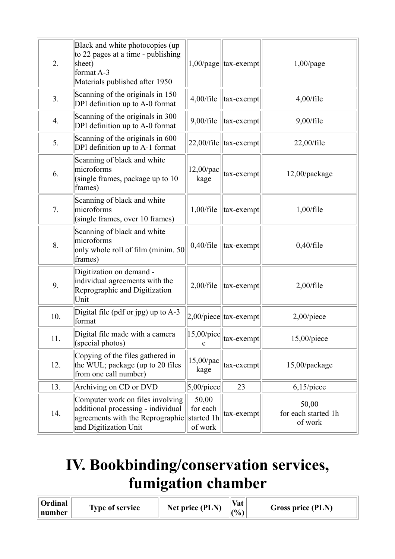| 2.  | Black and white photocopies (up<br>to 22 pages at a time - publishing<br>sheet)<br>format A-3<br>Materials published after 1950     |                                            | $1,00$ /page  tax-exempt   | $1,00$ /page                            |
|-----|-------------------------------------------------------------------------------------------------------------------------------------|--------------------------------------------|----------------------------|-----------------------------------------|
| 3.  | Scanning of the originals in 150<br>DPI definition up to A-0 format                                                                 | $4,00$ /file                               | tax-exempt                 | $4,00$ /file                            |
| 4.  | Scanning of the originals in 300<br>DPI definition up to A-0 format                                                                 | $9,00$ /file                               | tax-exempt                 | $9,00$ /file                            |
| 5.  | Scanning of the originals in 600<br>DPI definition up to A-1 format                                                                 |                                            | $22,00$ /file   tax-exempt | $22,00$ /file                           |
| 6.  | Scanning of black and white<br>microforms<br>(single frames, package up to 10<br>frames)                                            | $12,00$ /pac<br>kage                       | tax-exempt                 | 12,00/package                           |
| 7.  | Scanning of black and white<br>microforms<br>(single frames, over 10 frames)                                                        | $1,00$ /file                               | tax-exempt                 | $1,00$ /file                            |
| 8.  | Scanning of black and white<br>microforms<br>only whole roll of film (minim. 50<br>frames)                                          | $0,40$ /file                               | tax-exempt                 | $0,40$ /file                            |
| 9.  | Digitization on demand -<br>individual agreements with the<br>Reprographic and Digitization<br>Unit                                 | $2,00$ /file                               | tax-exempt                 | $2,00$ /file                            |
| 10. | Digital file (pdf or jpg) up to $A-3$<br>format                                                                                     |                                            | $2,00$ /piece  tax-exempt  | $2,00$ /piece                           |
| 11. | Digital file made with a camera<br>(special photos)                                                                                 | $ 15,00/p$ iec<br>e                        | tax-exempt                 | $15,00$ /piece                          |
| 12. | Copying of the files gathered in<br>the WUL; package (up to 20 files<br>from one call number)                                       | $15,00$ /pac<br>kage                       | tax-exempt                 | 15,00/package                           |
| 13. | Archiving on CD or DVD                                                                                                              | $5,00$ /piece                              | 23                         | $6,15$ /piece                           |
| 14. | Computer work on files involving<br>additional processing - individual<br>agreements with the Reprographic<br>and Digitization Unit | 50,00<br>for each<br>started 1h<br>of work | tax-exempt                 | 50,00<br>for each started 1h<br>of work |

# **IV. Bookbinding/conservation services, fumigation chamber**

| Ordinal | <b>Type of service</b> | Vat<br>Net price (PLN) | Gross price (PLN) |
|---------|------------------------|------------------------|-------------------|
| number  |                        | $($ %)                 |                   |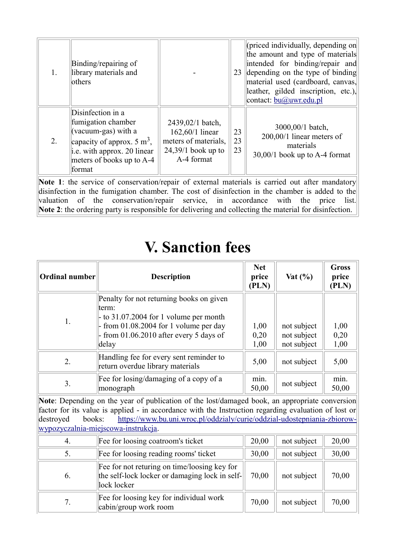|    | Binding/repairing of<br>library materials and<br>others                                                                                                                       |                                                                                                   | 23             | (priced individually, depending on<br>the amount and type of materials<br>intended for binding/repair and<br>depending on the type of binding<br>material used (cardboard, canvas,<br>leather, gilded inscription, etc.),<br>contact: bu@uwr.edu.pl |
|----|-------------------------------------------------------------------------------------------------------------------------------------------------------------------------------|---------------------------------------------------------------------------------------------------|----------------|-----------------------------------------------------------------------------------------------------------------------------------------------------------------------------------------------------------------------------------------------------|
| 2. | Disinfection in a<br>fumigation chamber<br>(vacuum-gas) with a<br>capacity of approx. $5 \text{ m}^3$ ,<br>i.e. with approx. 20 linear<br>meters of books up to A-4<br>format | 2439,02/1 batch,<br>162,60/1 linear<br>meters of materials,<br>$24,39/1$ book up to<br>A-4 format | 23<br>23<br>23 | 3000,00/1 batch,<br>200,00/1 linear meters of<br>materials<br>$30,00/1$ book up to A-4 format                                                                                                                                                       |

Note 1: the service of conservation/repair of external materials is carried out after mandatory disinfection in the fumigation chamber. The cost of disinfection in the chamber is added to the valuation of the conservation/repair service, in accordance with the price list. **Note 2**: the ordering party is responsible for delivering and collecting the material for disinfection.

### **V. Sanction fees**

| <b>Ordinal number</b><br><b>Description</b>                                                                                                                                                     |                                                                                                                                                                                                                                                                                                                           | <b>Net</b><br>price<br>(PLN) | Vat $(\% )$                               | <b>Gross</b><br>price<br>(PLN) |
|-------------------------------------------------------------------------------------------------------------------------------------------------------------------------------------------------|---------------------------------------------------------------------------------------------------------------------------------------------------------------------------------------------------------------------------------------------------------------------------------------------------------------------------|------------------------------|-------------------------------------------|--------------------------------|
| Penalty for not returning books on given<br>term:<br>$-$ to 31.07.2004 for 1 volume per month<br>1.<br>from $01.08.2004$ for 1 volume per day<br>from 01.06.2010 after every 5 days of<br>delay |                                                                                                                                                                                                                                                                                                                           | 1,00<br>0,20<br>1,00         | not subject<br>not subject<br>not subject | 1,00<br>0,20<br>1,00           |
| Handling fee for every sent reminder to<br>2.<br>return overdue library materials                                                                                                               |                                                                                                                                                                                                                                                                                                                           | 5,00                         | not subject                               | 5,00                           |
| Fee for losing/damaging of a copy of a<br>3.<br>monograph                                                                                                                                       |                                                                                                                                                                                                                                                                                                                           | min.<br>50,00                | not subject                               | min.<br>50,00                  |
| destroyed<br>books:                                                                                                                                                                             | Note: Depending on the year of publication of the lost/damaged book, an appropriate conversion<br>factor for its value is applied - in accordance with the Instruction regarding evaluation of lost or<br>https://www.bu.uni.wroc.pl/oddzialy/curie/oddzial-udostepniania-zbiorow-<br>wypozyczalnia-miejscowa-instrukcja. |                              |                                           |                                |
| 4.                                                                                                                                                                                              | Fee for loosing coatroom's ticket                                                                                                                                                                                                                                                                                         | 20,00                        | not subject                               | 20,00                          |
| 5.                                                                                                                                                                                              | Fee for loosing reading rooms' ticket                                                                                                                                                                                                                                                                                     |                              | not subject                               | 30,00                          |
| Fee for not returing on time/loosing key for<br>the self-lock locker or damaging lock in self-<br>6.<br>lock locker                                                                             |                                                                                                                                                                                                                                                                                                                           | 70,00                        | not subject                               | 70,00                          |
| 7.                                                                                                                                                                                              | Fee for loosing key for individual work<br>cabin/group work room                                                                                                                                                                                                                                                          | 70,00                        | not subject                               | 70,00                          |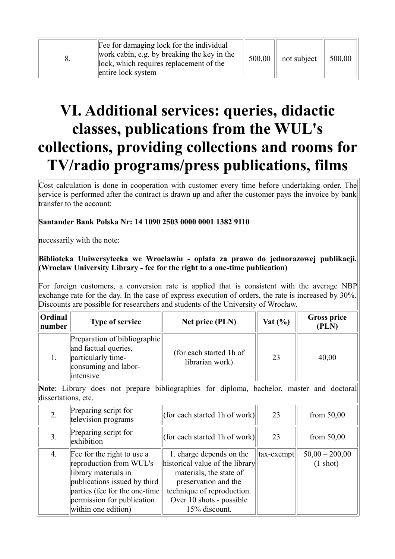| Fee for damaging lock for the individual<br>work cabin, e.g. by breaking the key in the<br>lock, which requires replacement of the<br>entire lock system | 500,00 | not subject | 500,00 |
|----------------------------------------------------------------------------------------------------------------------------------------------------------|--------|-------------|--------|
|----------------------------------------------------------------------------------------------------------------------------------------------------------|--------|-------------|--------|

# **VI. Additional services: queries, didactic classes, publications from the WUL's collections, providing collections and rooms for TV/radio programs/press publications, films**

Cost calculation is done in cooperation with customer every time before undertaking order. The service is performed after the contract is drawn up and after the customer pays the invoice by bank transfer to the account:

### **Santander Bank Polska Nr: 14 1090 2503 0000 0001 1382 9110**

necessarily with the note:

#### **Biblioteka Uniwersytecka we Wrocławiu - opłata za prawo do jednorazowej publikacji. (Wroclaw University Library - fee for the right to a one-time publication)**

For foreign customers, a conversion rate is applied that is consistent with the average NBP exchange rate for the day. In the case of express execution of orders, the rate is increased by 30%. Discounts are possible for researchers and students of the University of Wrocław.

| <b>Ordinal</b><br>number | <b>Type of service</b>                                                                                          | Net price (PLN)                            | Vat $(\% )$ | <b>Gross price</b><br>(PLN) |
|--------------------------|-----------------------------------------------------------------------------------------------------------------|--------------------------------------------|-------------|-----------------------------|
|                          | Preparation of bibliographic<br>and factual queries,<br>particularly time-<br>consuming and labor-<br>intensive | (for each started 1h of<br>librarian work) | 23          | 40,00                       |

**Note**: Library does not prepare bibliographies for diploma, bachelor, master and doctoral dissertations, etc.

|    | Preparing script for<br>television programs                                                                                                                                                          | (for each started 1h of work)                                                                                                                                                             | 23           | from $50,00$                           |
|----|------------------------------------------------------------------------------------------------------------------------------------------------------------------------------------------------------|-------------------------------------------------------------------------------------------------------------------------------------------------------------------------------------------|--------------|----------------------------------------|
| 3. | Preparing script for<br>exhibition                                                                                                                                                                   | (for each started 1h of work)                                                                                                                                                             | 23           | from $50,00$                           |
| 4. | Fee for the right to use a<br>reproduction from WUL's<br>library materials in<br>publications issued by third<br>parties (fee for the one-time)<br>permission for publication<br>within one edition) | 1. charge depends on the<br>historical value of the library<br>materials, the state of<br>preservation and the<br>technique of reproduction.<br>Over 10 shots - possible<br>15% discount. | $tax-exempt$ | $50,00 - 200,00$<br>$(1 \text{ shot})$ |